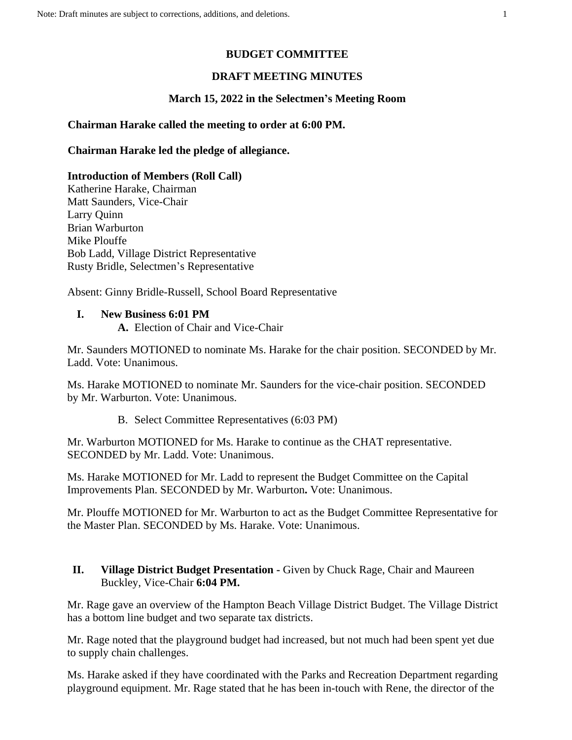### **BUDGET COMMITTEE**

### **DRAFT MEETING MINUTES**

### **March 15, 2022 in the Selectmen's Meeting Room**

#### **Chairman Harake called the meeting to order at 6:00 PM.**

**Chairman Harake led the pledge of allegiance.**

**Introduction of Members (Roll Call)** Katherine Harake, Chairman Matt Saunders, Vice-Chair Larry Quinn Brian Warburton Mike Plouffe Bob Ladd, Village District Representative Rusty Bridle, Selectmen's Representative

Absent: Ginny Bridle-Russell, School Board Representative

#### **I. New Business 6:01 PM**

**A.** Election of Chair and Vice-Chair

Mr. Saunders MOTIONED to nominate Ms. Harake for the chair position. SECONDED by Mr. Ladd. Vote: Unanimous.

Ms. Harake MOTIONED to nominate Mr. Saunders for the vice-chair position. SECONDED by Mr. Warburton. Vote: Unanimous.

B. Select Committee Representatives (6:03 PM)

Mr. Warburton MOTIONED for Ms. Harake to continue as the CHAT representative. SECONDED by Mr. Ladd. Vote: Unanimous.

Ms. Harake MOTIONED for Mr. Ladd to represent the Budget Committee on the Capital Improvements Plan. SECONDED by Mr. Warburton**.** Vote: Unanimous.

Mr. Plouffe MOTIONED for Mr. Warburton to act as the Budget Committee Representative for the Master Plan. SECONDED by Ms. Harake. Vote: Unanimous.

### **II. Village District Budget Presentation -** Given by Chuck Rage, Chair and Maureen Buckley, Vice-Chair **6:04 PM.**

Mr. Rage gave an overview of the Hampton Beach Village District Budget. The Village District has a bottom line budget and two separate tax districts.

Mr. Rage noted that the playground budget had increased, but not much had been spent yet due to supply chain challenges.

Ms. Harake asked if they have coordinated with the Parks and Recreation Department regarding playground equipment. Mr. Rage stated that he has been in-touch with Rene, the director of the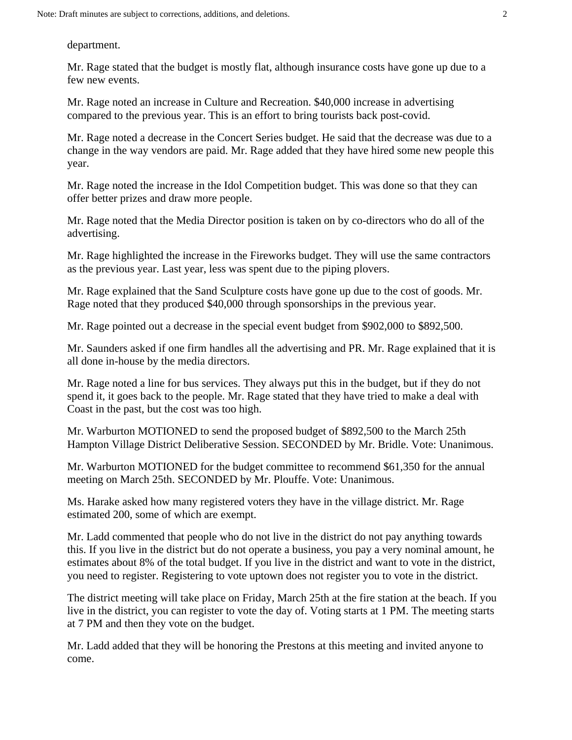department.

Mr. Rage stated that the budget is mostly flat, although insurance costs have gone up due to a few new events.

Mr. Rage noted an increase in Culture and Recreation. \$40,000 increase in advertising compared to the previous year. This is an effort to bring tourists back post-covid.

Mr. Rage noted a decrease in the Concert Series budget. He said that the decrease was due to a change in the way vendors are paid. Mr. Rage added that they have hired some new people this year.

Mr. Rage noted the increase in the Idol Competition budget. This was done so that they can offer better prizes and draw more people.

Mr. Rage noted that the Media Director position is taken on by co-directors who do all of the advertising.

Mr. Rage highlighted the increase in the Fireworks budget. They will use the same contractors as the previous year. Last year, less was spent due to the piping plovers.

Mr. Rage explained that the Sand Sculpture costs have gone up due to the cost of goods. Mr. Rage noted that they produced \$40,000 through sponsorships in the previous year.

Mr. Rage pointed out a decrease in the special event budget from \$902,000 to \$892,500.

Mr. Saunders asked if one firm handles all the advertising and PR. Mr. Rage explained that it is all done in-house by the media directors.

Mr. Rage noted a line for bus services. They always put this in the budget, but if they do not spend it, it goes back to the people. Mr. Rage stated that they have tried to make a deal with Coast in the past, but the cost was too high.

Mr. Warburton MOTIONED to send the proposed budget of \$892,500 to the March 25th Hampton Village District Deliberative Session. SECONDED by Mr. Bridle. Vote: Unanimous.

Mr. Warburton MOTIONED for the budget committee to recommend \$61,350 for the annual meeting on March 25th. SECONDED by Mr. Plouffe. Vote: Unanimous.

Ms. Harake asked how many registered voters they have in the village district. Mr. Rage estimated 200, some of which are exempt.

Mr. Ladd commented that people who do not live in the district do not pay anything towards this. If you live in the district but do not operate a business, you pay a very nominal amount, he estimates about 8% of the total budget. If you live in the district and want to vote in the district, you need to register. Registering to vote uptown does not register you to vote in the district.

The district meeting will take place on Friday, March 25th at the fire station at the beach. If you live in the district, you can register to vote the day of. Voting starts at 1 PM. The meeting starts at 7 PM and then they vote on the budget.

Mr. Ladd added that they will be honoring the Prestons at this meeting and invited anyone to come.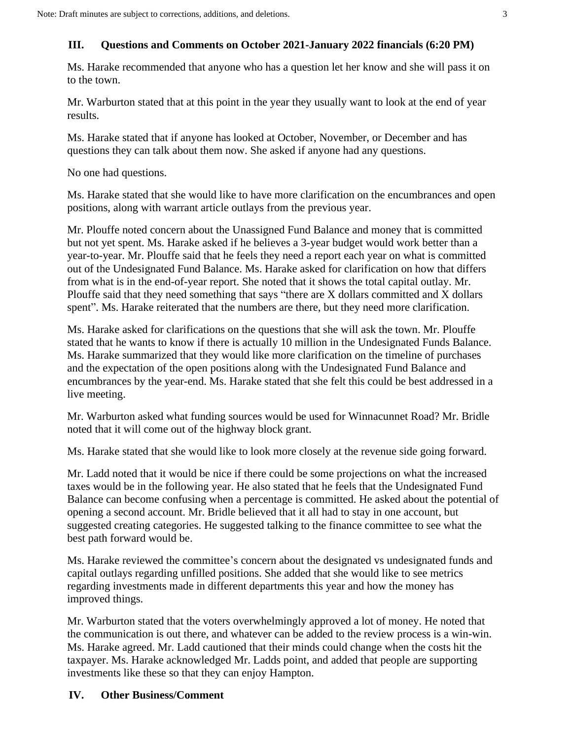## **III. Questions and Comments on October 2021-January 2022 financials (6:20 PM)**

Ms. Harake recommended that anyone who has a question let her know and she will pass it on to the town.

Mr. Warburton stated that at this point in the year they usually want to look at the end of year results.

Ms. Harake stated that if anyone has looked at October, November, or December and has questions they can talk about them now. She asked if anyone had any questions.

No one had questions.

Ms. Harake stated that she would like to have more clarification on the encumbrances and open positions, along with warrant article outlays from the previous year.

Mr. Plouffe noted concern about the Unassigned Fund Balance and money that is committed but not yet spent. Ms. Harake asked if he believes a 3-year budget would work better than a year-to-year. Mr. Plouffe said that he feels they need a report each year on what is committed out of the Undesignated Fund Balance. Ms. Harake asked for clarification on how that differs from what is in the end-of-year report. She noted that it shows the total capital outlay. Mr. Plouffe said that they need something that says "there are X dollars committed and X dollars spent". Ms. Harake reiterated that the numbers are there, but they need more clarification.

Ms. Harake asked for clarifications on the questions that she will ask the town. Mr. Plouffe stated that he wants to know if there is actually 10 million in the Undesignated Funds Balance. Ms. Harake summarized that they would like more clarification on the timeline of purchases and the expectation of the open positions along with the Undesignated Fund Balance and encumbrances by the year-end. Ms. Harake stated that she felt this could be best addressed in a live meeting.

Mr. Warburton asked what funding sources would be used for Winnacunnet Road? Mr. Bridle noted that it will come out of the highway block grant.

Ms. Harake stated that she would like to look more closely at the revenue side going forward.

Mr. Ladd noted that it would be nice if there could be some projections on what the increased taxes would be in the following year. He also stated that he feels that the Undesignated Fund Balance can become confusing when a percentage is committed. He asked about the potential of opening a second account. Mr. Bridle believed that it all had to stay in one account, but suggested creating categories. He suggested talking to the finance committee to see what the best path forward would be.

Ms. Harake reviewed the committee's concern about the designated vs undesignated funds and capital outlays regarding unfilled positions. She added that she would like to see metrics regarding investments made in different departments this year and how the money has improved things.

Mr. Warburton stated that the voters overwhelmingly approved a lot of money. He noted that the communication is out there, and whatever can be added to the review process is a win-win. Ms. Harake agreed. Mr. Ladd cautioned that their minds could change when the costs hit the taxpayer. Ms. Harake acknowledged Mr. Ladds point, and added that people are supporting investments like these so that they can enjoy Hampton.

## **IV. Other Business/Comment**